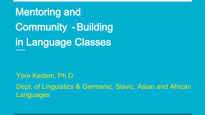Mentoring and Community -Building in Language Classes

Yore Kedem, Ph.D Dept. of Linguistics & Germanic, Slavic, Asian and African Languages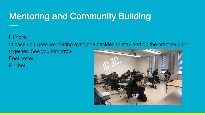## Mentoring and Community Building

Hi Yore,

In case you were wondering everyone decided to stay and do the practice quiz

together. See you tomorrow!

Feel better,

Rachel

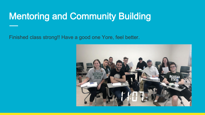#### Mentoring and Community Building

Finished class strong!! Have a good one Yore, feel better.

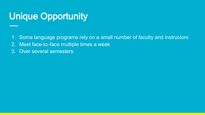## Unique Opportunity

1. Some language programs rely on a small number of faculty and instructors

- 2. Meet face-to-face multiple times a week
- 3. Over several semesters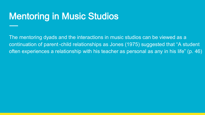#### Mentoring in Music Studios

The mentoring dyads and the interactions in music studios can be viewed as a continuation of parent-child relationships as Jones (1975) suggested that "A student often experiences a relationship with his teacher as personal as any in his life" (p. 46)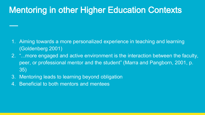#### Mentoring in other Higher Education Contexts

- 1. Aiming towards a more personalized experience in teaching and learning (Goldenberg 2001)
- 2. "...more engaged and active environment is the interaction between the faculty, peer, or professional mentor and the student" (Marra and Pangborn, 2001, p. 35)
- 3. Mentoring leads to learning beyond obligation
- 4. Beneficial to both mentors and mentees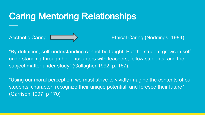#### Caring Mentoring Relationships

Aesthetic Caring **Ethical Caring (Noddings, 1984)** 

"By definition, self-understanding cannot be taught. But the student grows in selfunderstanding through her encounters with teachers, fellow students, and the subject matter under study" (Gallagher 1992, p. 167).

"Using our moral perception, we must strive to vividly imagine the contents of our students' character, recognize their unique potential, and foresee their future" (Garrison 1997, p 170)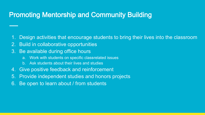#### Promoting Mentorship and Community Building

- 1. Design activities that encourage students to bring their lives into the classroom
- 2. Build in collaborative opportunities
- 3. Be available during office hours
	- a. Work with students on specific classrelated issues
	- b. Ask students about their lives and studies
- 4. Give positive feedback and reinforcement
- 5. Provide independent studies and honors projects
- 6. Be open to learn about / from students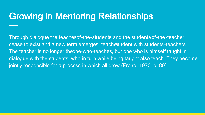### Growing in Mentoring Relationships

Through dialogue the teacherof-the-students and the students-of-the-teacher cease to exist and a new term emerges: teachestudent with students-teachers. The teacher is no longer theone-who-teaches, but one who is himself taught in dialogue with the students, who in turn while being taught also teach. They become jointly responsible for a process in which all grow (Freire, 1970, p. 80).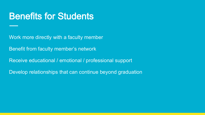#### Benefits for Students

Work more directly with a faculty member

Benefit from faculty member's network

Receive educational / emotional / professional support

Develop relationships that can continue beyond graduation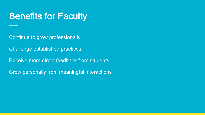#### Benefits for Faculty

Continue to grow professionally

Challenge established practices

Receive more direct feedback from students

Grow personally from meaningful interactions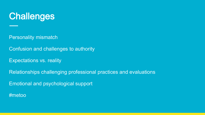

Personality mismatch

Confusion and challenges to authority

Expectations vs. reality

Relationships challenging professional practices and evaluations Emotional and psychological support #metoo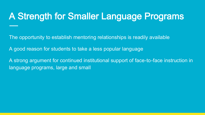### A Strength for Smaller Language Programs

The opportunity to establish mentoring relationships is readily available

A good reason for students to take a less popular language

A strong argument for continued institutional support of face-to-face instruction in language programs, large and small